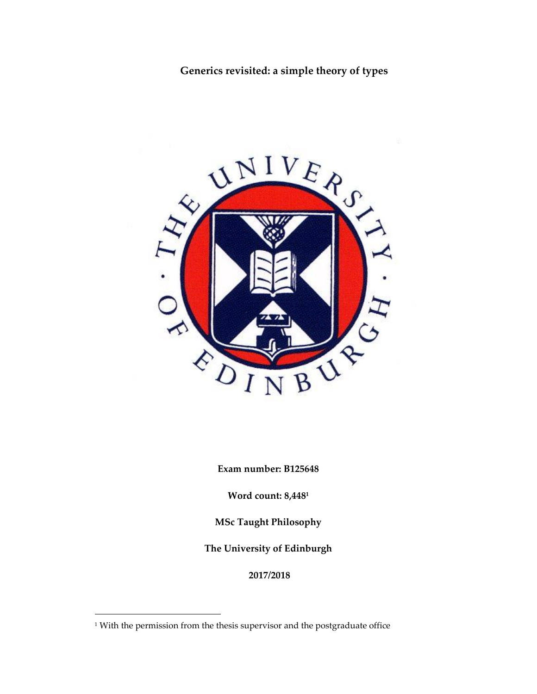**Generics revisited: a simple theory of types**



**Exam number: B125648**

**Word count: 8,448<sup>1</sup>**

**MSc Taught Philosophy**

**The University of Edinburgh**

**2017/2018**

1

<sup>&</sup>lt;sup>1</sup> With the permission from the thesis supervisor and the postgraduate office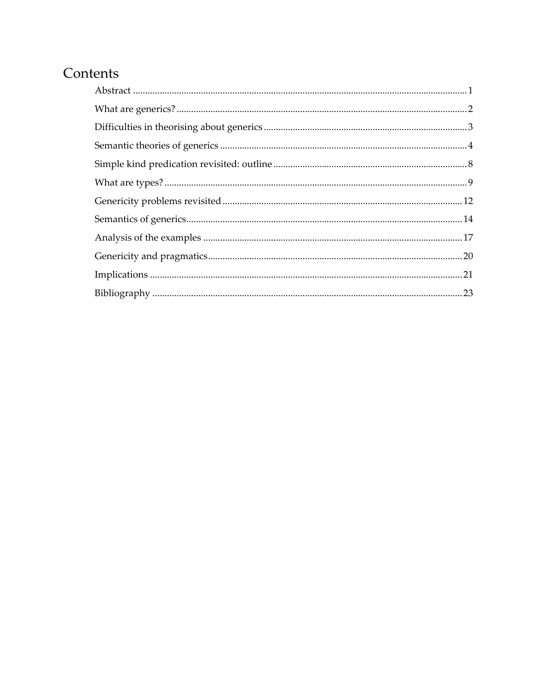# Contents

<span id="page-1-0"></span>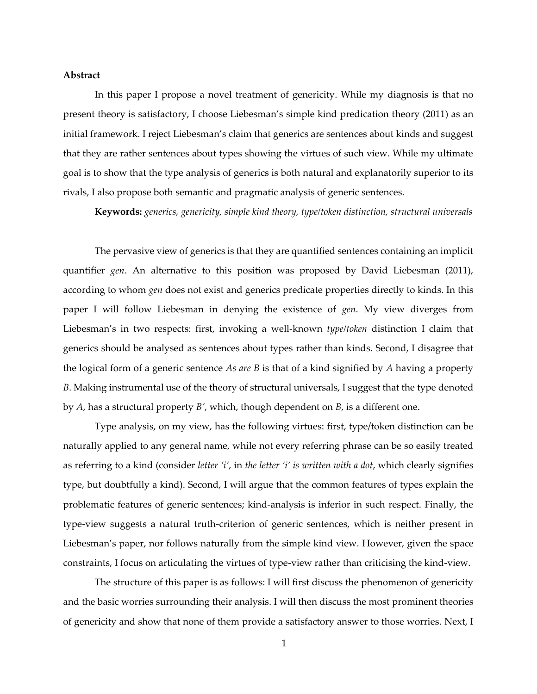#### **Abstract**

In this paper I propose a novel treatment of genericity. While my diagnosis is that no present theory is satisfactory, I choose Liebesman's simple kind predication theory (2011) as an initial framework. I reject Liebesman's claim that generics are sentences about kinds and suggest that they are rather sentences about types showing the virtues of such view. While my ultimate goal is to show that the type analysis of generics is both natural and explanatorily superior to its rivals, I also propose both semantic and pragmatic analysis of generic sentences.

**Keywords:** *generics, genericity, simple kind theory, type/token distinction, structural universals*

The pervasive view of generics is that they are quantified sentences containing an implicit quantifier *gen*. An alternative to this position was proposed by David Liebesman (2011), according to whom *gen* does not exist and generics predicate properties directly to kinds. In this paper I will follow Liebesman in denying the existence of *gen*. My view diverges from Liebesman's in two respects: first, invoking a well-known *type/token* distinction I claim that generics should be analysed as sentences about types rather than kinds. Second, I disagree that the logical form of a generic sentence *As are B* is that of a kind signified by *A* having a property *B*. Making instrumental use of the theory of structural universals, I suggest that the type denoted by *A*, has a structural property *B'*, which, though dependent on *B*, is a different one.

Type analysis, on my view, has the following virtues: first, type/token distinction can be naturally applied to any general name, while not every referring phrase can be so easily treated as referring to a kind (consider *letter 'i'*, in *the letter 'i' is written with a dot*, which clearly signifies type, but doubtfully a kind). Second, I will argue that the common features of types explain the problematic features of generic sentences; kind-analysis is inferior in such respect. Finally, the type-view suggests a natural truth-criterion of generic sentences, which is neither present in Liebesman's paper, nor follows naturally from the simple kind view. However, given the space constraints, I focus on articulating the virtues of type-view rather than criticising the kind-view.

The structure of this paper is as follows: I will first discuss the phenomenon of genericity and the basic worries surrounding their analysis. I will then discuss the most prominent theories of genericity and show that none of them provide a satisfactory answer to those worries. Next, I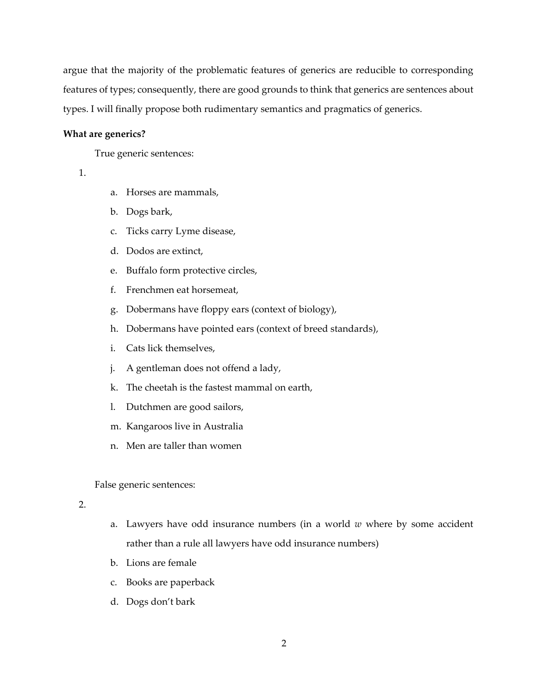argue that the majority of the problematic features of generics are reducible to corresponding features of types; consequently, there are good grounds to think that generics are sentences about types. I will finally propose both rudimentary semantics and pragmatics of generics.

#### <span id="page-3-0"></span>**What are generics?**

True generic sentences:

- 1.
- a. Horses are mammals,
- b. Dogs bark,
- c. Ticks carry Lyme disease,
- d. Dodos are extinct,
- e. Buffalo form protective circles,
- f. Frenchmen eat horsemeat,
- g. Dobermans have floppy ears (context of biology),
- h. Dobermans have pointed ears (context of breed standards),
- i. Cats lick themselves,
- j. A gentleman does not offend a lady,
- k. The cheetah is the fastest mammal on earth,
- l. Dutchmen are good sailors,
- m. Kangaroos live in Australia
- n. Men are taller than women

False generic sentences:

### 2.

- a. Lawyers have odd insurance numbers (in a world *w* where by some accident rather than a rule all lawyers have odd insurance numbers)
- b. Lions are female
- c. Books are paperback
- d. Dogs don't bark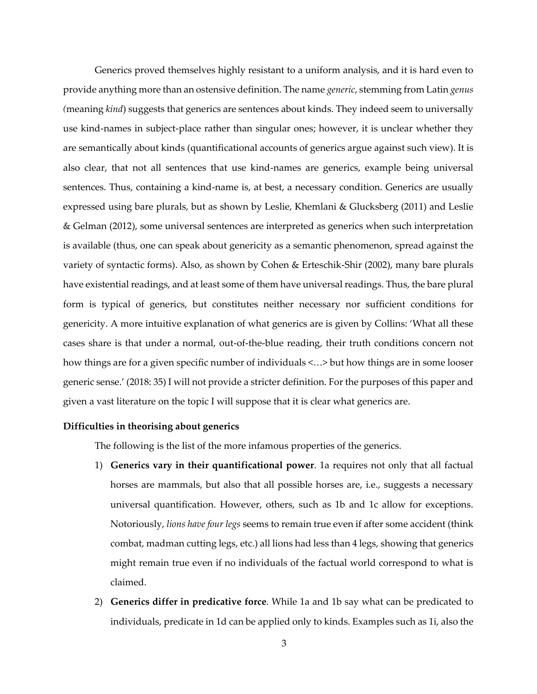Generics proved themselves highly resistant to a uniform analysis, and it is hard even to provide anything more than an ostensive definition. The name *generic*, stemming from Latin *genus (*meaning *kind*) suggests that generics are sentences about kinds. They indeed seem to universally use kind-names in subject-place rather than singular ones; however, it is unclear whether they are semantically about kinds (quantificational accounts of generics argue against such view). It is also clear, that not all sentences that use kind-names are generics, example being universal sentences. Thus, containing a kind-name is, at best, a necessary condition. Generics are usually expressed using bare plurals, but as shown by Leslie, Khemlani & Glucksberg (2011) and Leslie & Gelman (2012), some universal sentences are interpreted as generics when such interpretation is available (thus, one can speak about genericity as a semantic phenomenon, spread against the variety of syntactic forms). Also, as shown by Cohen & Erteschik-Shir (2002), many bare plurals have existential readings, and at least some of them have universal readings. Thus, the bare plural form is typical of generics, but constitutes neither necessary nor sufficient conditions for genericity. A more intuitive explanation of what generics are is given by Collins: 'What all these cases share is that under a normal, out-of-the-blue reading, their truth conditions concern not how things are for a given specific number of individuals <...> but how things are in some looser generic sense.' (2018: 35) I will not provide a stricter definition. For the purposes of this paper and given a vast literature on the topic I will suppose that it is clear what generics are.

### <span id="page-4-0"></span>**Difficulties in theorising about generics**

The following is the list of the more infamous properties of the generics.

- 1) **Generics vary in their quantificational power**. 1a requires not only that all factual horses are mammals, but also that all possible horses are, i.e., suggests a necessary universal quantification. However, others, such as 1b and 1c allow for exceptions. Notoriously, *lions have four legs* seems to remain true even if after some accident (think combat, madman cutting legs, etc.) all lions had less than 4 legs, showing that generics might remain true even if no individuals of the factual world correspond to what is claimed.
- 2) **Generics differ in predicative force**. While 1a and 1b say what can be predicated to individuals, predicate in 1d can be applied only to kinds. Examples such as 1i, also the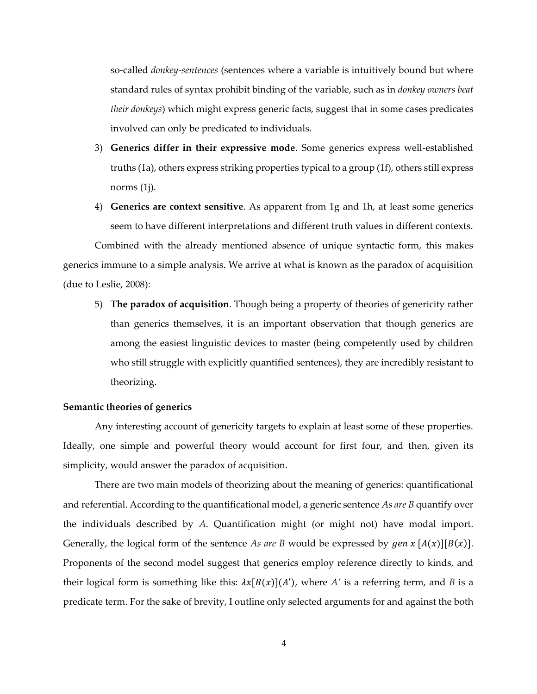so-called *donkey-sentences* (sentences where a variable is intuitively bound but where standard rules of syntax prohibit binding of the variable, such as in *donkey owners beat their donkeys*) which might express generic facts, suggest that in some cases predicates involved can only be predicated to individuals.

- 3) **Generics differ in their expressive mode**. Some generics express well-established truths (1a), others express striking properties typical to a group (1f), others still express norms (1j).
- 4) **Generics are context sensitive**. As apparent from 1g and 1h, at least some generics seem to have different interpretations and different truth values in different contexts.

Combined with the already mentioned absence of unique syntactic form, this makes generics immune to a simple analysis. We arrive at what is known as the paradox of acquisition (due to Leslie, 2008):

5) **The paradox of acquisition**. Though being a property of theories of genericity rather than generics themselves, it is an important observation that though generics are among the easiest linguistic devices to master (being competently used by children who still struggle with explicitly quantified sentences), they are incredibly resistant to theorizing.

## <span id="page-5-0"></span>**Semantic theories of generics**

Any interesting account of genericity targets to explain at least some of these properties. Ideally, one simple and powerful theory would account for first four, and then, given its simplicity, would answer the paradox of acquisition.

There are two main models of theorizing about the meaning of generics: quantificational and referential. According to the quantificational model, a generic sentence *As are B* quantify over the individuals described by *A*. Quantification might (or might not) have modal import. Generally, the logical form of the sentence *As are B* would be expressed by  $gen \ x [A(x)][B(x)].$ Proponents of the second model suggest that generics employ reference directly to kinds, and their logical form is something like this:  $\lambda x[B(x)](A')$ , where *A'* is a referring term, and *B* is a predicate term. For the sake of brevity, I outline only selected arguments for and against the both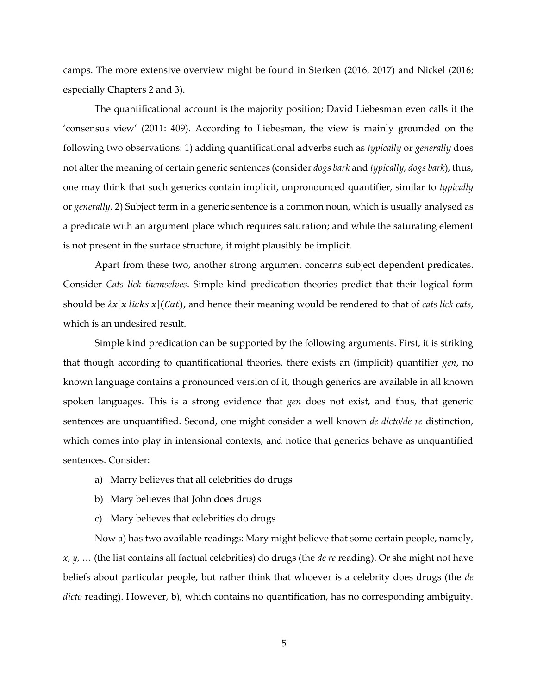camps. The more extensive overview might be found in Sterken (2016, 2017) and Nickel (2016; especially Chapters 2 and 3).

The quantificational account is the majority position; David Liebesman even calls it the 'consensus view' (2011: 409). According to Liebesman, the view is mainly grounded on the following two observations: 1) adding quantificational adverbs such as *typically* or *generally* does not alter the meaning of certain generic sentences (consider *dogs bark* and *typically, dogs bark*), thus, one may think that such generics contain implicit, unpronounced quantifier, similar to *typically* or *generally*. 2) Subject term in a generic sentence is a common noun, which is usually analysed as a predicate with an argument place which requires saturation; and while the saturating element is not present in the surface structure, it might plausibly be implicit.

Apart from these two, another strong argument concerns subject dependent predicates. Consider *Cats lick themselves*. Simple kind predication theories predict that their logical form should be  $\lambda x[x$  *licks*  $x](Cat)$ , and hence their meaning would be rendered to that of *cats lick cats*, which is an undesired result.

Simple kind predication can be supported by the following arguments. First, it is striking that though according to quantificational theories, there exists an (implicit) quantifier *gen*, no known language contains a pronounced version of it, though generics are available in all known spoken languages. This is a strong evidence that *gen* does not exist, and thus, that generic sentences are unquantified. Second, one might consider a well known *de dicto/de re* distinction, which comes into play in intensional contexts, and notice that generics behave as unquantified sentences. Consider:

- a) Marry believes that all celebrities do drugs
- b) Mary believes that John does drugs
- c) Mary believes that celebrities do drugs

Now a) has two available readings: Mary might believe that some certain people, namely, *x, y, …* (the list contains all factual celebrities) do drugs (the *de re* reading). Or she might not have beliefs about particular people, but rather think that whoever is a celebrity does drugs (the *de dicto* reading). However, b), which contains no quantification, has no corresponding ambiguity.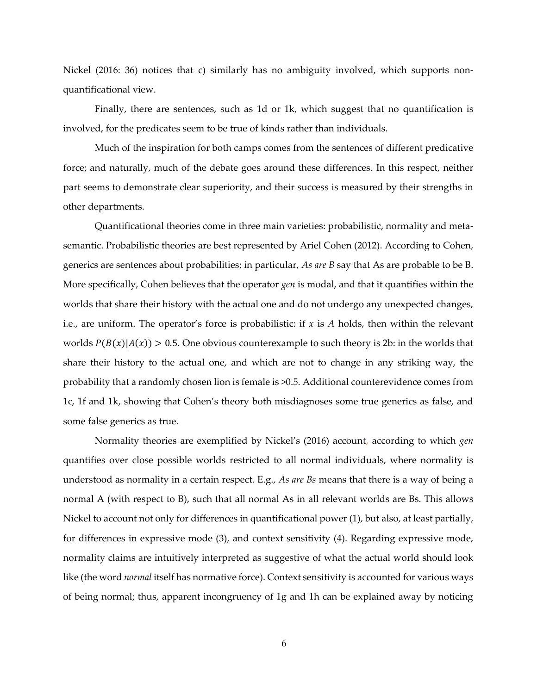Nickel (2016: 36) notices that c) similarly has no ambiguity involved, which supports nonquantificational view.

Finally, there are sentences, such as 1d or 1k, which suggest that no quantification is involved, for the predicates seem to be true of kinds rather than individuals.

Much of the inspiration for both camps comes from the sentences of different predicative force; and naturally, much of the debate goes around these differences. In this respect, neither part seems to demonstrate clear superiority, and their success is measured by their strengths in other departments.

Quantificational theories come in three main varieties: probabilistic, normality and metasemantic. Probabilistic theories are best represented by Ariel Cohen (2012). According to Cohen, generics are sentences about probabilities; in particular, *As are B* say that As are probable to be B. More specifically, Cohen believes that the operator *gen* is modal, and that it quantifies within the worlds that share their history with the actual one and do not undergo any unexpected changes, i.e., are uniform. The operator's force is probabilistic: if  $x$  is  $A$  holds, then within the relevant worlds  $P(B(x)|A(x)) > 0.5$ . One obvious counterexample to such theory is 2b: in the worlds that share their history to the actual one, and which are not to change in any striking way, the probability that a randomly chosen lion is female is >0.5. Additional counterevidence comes from 1c, 1f and 1k, showing that Cohen's theory both misdiagnoses some true generics as false, and some false generics as true.

Normality theories are exemplified by Nickel's (2016) account, according to which *gen*  quantifies over close possible worlds restricted to all normal individuals, where normality is understood as normality in a certain respect. E.g., *As are Bs* means that there is a way of being a normal A (with respect to B), such that all normal As in all relevant worlds are Bs. This allows Nickel to account not only for differences in quantificational power (1), but also, at least partially, for differences in expressive mode (3), and context sensitivity (4). Regarding expressive mode, normality claims are intuitively interpreted as suggestive of what the actual world should look like (the word *normal* itself has normative force). Context sensitivity is accounted for various ways of being normal; thus, apparent incongruency of 1g and 1h can be explained away by noticing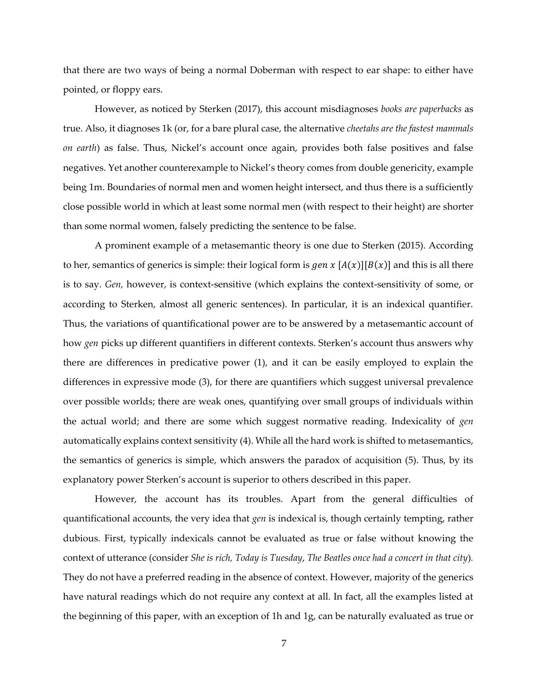that there are two ways of being a normal Doberman with respect to ear shape: to either have pointed, or floppy ears.

However, as noticed by Sterken (2017), this account misdiagnoses *books are paperbacks* as true. Also, it diagnoses 1k (or, for a bare plural case, the alternative *cheetahs are the fastest mammals on earth*) as false. Thus, Nickel's account once again, provides both false positives and false negatives. Yet another counterexample to Nickel's theory comes from double genericity, example being 1m. Boundaries of normal men and women height intersect, and thus there is a sufficiently close possible world in which at least some normal men (with respect to their height) are shorter than some normal women, falsely predicting the sentence to be false.

A prominent example of a metasemantic theory is one due to Sterken (2015). According to her, semantics of generics is simple: their logical form is gen x  $[A(x)][B(x)]$  and this is all there is to say. *Gen,* however, is context-sensitive (which explains the context-sensitivity of some, or according to Sterken, almost all generic sentences). In particular, it is an indexical quantifier. Thus, the variations of quantificational power are to be answered by a metasemantic account of how *gen* picks up different quantifiers in different contexts. Sterken's account thus answers why there are differences in predicative power (1), and it can be easily employed to explain the differences in expressive mode (3), for there are quantifiers which suggest universal prevalence over possible worlds; there are weak ones, quantifying over small groups of individuals within the actual world; and there are some which suggest normative reading. Indexicality of *gen*  automatically explains context sensitivity (4). While all the hard work is shifted to metasemantics, the semantics of generics is simple, which answers the paradox of acquisition (5). Thus, by its explanatory power Sterken's account is superior to others described in this paper.

However, the account has its troubles. Apart from the general difficulties of quantificational accounts, the very idea that *gen* is indexical is, though certainly tempting, rather dubious. First, typically indexicals cannot be evaluated as true or false without knowing the context of utterance (consider *She is rich, Today is Tuesday*, *The Beatles once had a concert in that city*)*.* They do not have a preferred reading in the absence of context. However, majority of the generics have natural readings which do not require any context at all. In fact, all the examples listed at the beginning of this paper, with an exception of 1h and 1g, can be naturally evaluated as true or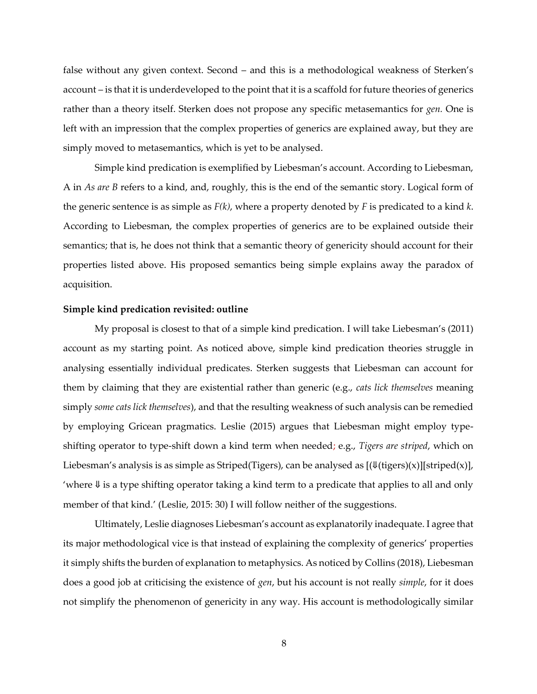false without any given context. Second – and this is a methodological weakness of Sterken's account – is that it is underdeveloped to the point that it is a scaffold for future theories of generics rather than a theory itself. Sterken does not propose any specific metasemantics for *gen.* One is left with an impression that the complex properties of generics are explained away, but they are simply moved to metasemantics, which is yet to be analysed.

Simple kind predication is exemplified by Liebesman's account. According to Liebesman, A in *As are B* refers to a kind, and, roughly, this is the end of the semantic story. Logical form of the generic sentence is as simple as *F(k)*, where a property denoted by *F* is predicated to a kind *k*. According to Liebesman, the complex properties of generics are to be explained outside their semantics; that is, he does not think that a semantic theory of genericity should account for their properties listed above. His proposed semantics being simple explains away the paradox of acquisition.

#### <span id="page-9-0"></span>**Simple kind predication revisited: outline**

My proposal is closest to that of a simple kind predication. I will take Liebesman's (2011) account as my starting point. As noticed above, simple kind predication theories struggle in analysing essentially individual predicates. Sterken suggests that Liebesman can account for them by claiming that they are existential rather than generic (e.g., *cats lick themselves* meaning simply *some cats lick themselves*), and that the resulting weakness of such analysis can be remedied by employing Gricean pragmatics. Leslie (2015) argues that Liebesman might employ typeshifting operator to type-shift down a kind term when needed; e.g., *Tigers are striped*, which on Liebesman's analysis is as simple as Striped(Tigers), can be analysed as  $[(\frac{\sqrt{t}}{i} + \frac{\sqrt{t}}{j}]$ [striped(x)], 'where ⇓ is a type shifting operator taking a kind term to a predicate that applies to all and only member of that kind.' (Leslie, 2015: 30) I will follow neither of the suggestions.

Ultimately, Leslie diagnoses Liebesman's account as explanatorily inadequate. I agree that its major methodological vice is that instead of explaining the complexity of generics' properties it simply shifts the burden of explanation to metaphysics. As noticed by Collins (2018), Liebesman does a good job at criticising the existence of *gen*, but his account is not really *simple*, for it does not simplify the phenomenon of genericity in any way. His account is methodologically similar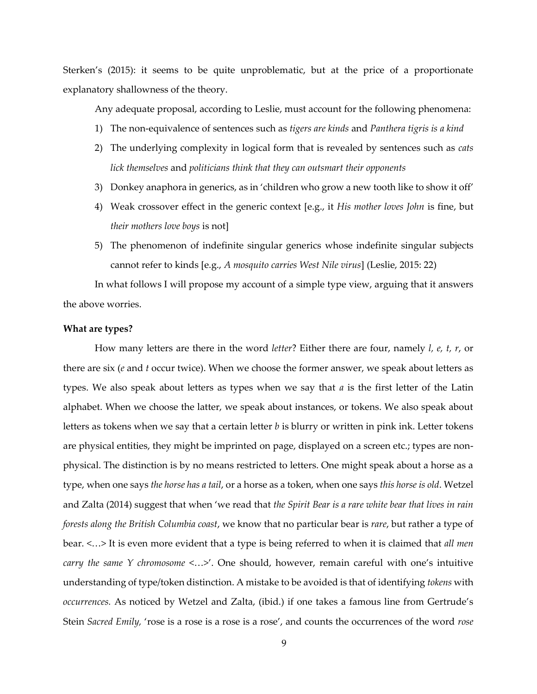Sterken's (2015): it seems to be quite unproblematic, but at the price of a proportionate explanatory shallowness of the theory.

Any adequate proposal, according to Leslie, must account for the following phenomena:

- 1) The non-equivalence of sentences such as *tigers are kinds* and *Panthera tigris is a kind*
- 2) The underlying complexity in logical form that is revealed by sentences such as *cats lick themselves* and *politicians think that they can outsmart their opponents*
- 3) Donkey anaphora in generics, as in 'children who grow a new tooth like to show it off'
- 4) Weak crossover effect in the generic context [e.g., it *His mother loves John* is fine, but *their mothers love boys* is not]
- 5) The phenomenon of indefinite singular generics whose indefinite singular subjects cannot refer to kinds [e.g., *A mosquito carries West Nile virus*] (Leslie, 2015: 22)

In what follows I will propose my account of a simple type view, arguing that it answers the above worries.

## <span id="page-10-0"></span>**What are types?**

How many letters are there in the word *letter*? Either there are four, namely *l, e, t, r*, or there are six (*e* and *t* occur twice). When we choose the former answer, we speak about letters as types. We also speak about letters as types when we say that *a* is the first letter of the Latin alphabet. When we choose the latter, we speak about instances, or tokens. We also speak about letters as tokens when we say that a certain letter *b* is blurry or written in pink ink. Letter tokens are physical entities, they might be imprinted on page, displayed on a screen etc.; types are nonphysical. The distinction is by no means restricted to letters. One might speak about a horse as a type, when one says *the horse has a tail*, or a horse as a token, when one says *this horse is old*. Wetzel and Zalta (2014) suggest that when 'we read that *the Spirit Bear is a rare white bear that lives in rain forests along the British Columbia coast*, we know that no particular bear is *rare*, but rather a type of bear. <…> It is even more evident that a type is being referred to when it is claimed that *all men carry the same Y chromosome* <…>'. One should, however, remain careful with one's intuitive understanding of type/token distinction. A mistake to be avoided is that of identifying *tokens* with *occurrences.* As noticed by Wetzel and Zalta, (ibid.) if one takes a famous line from Gertrude's Stein *Sacred Emily,* 'rose is a rose is a rose is a rose', and counts the occurrences of the word *rose*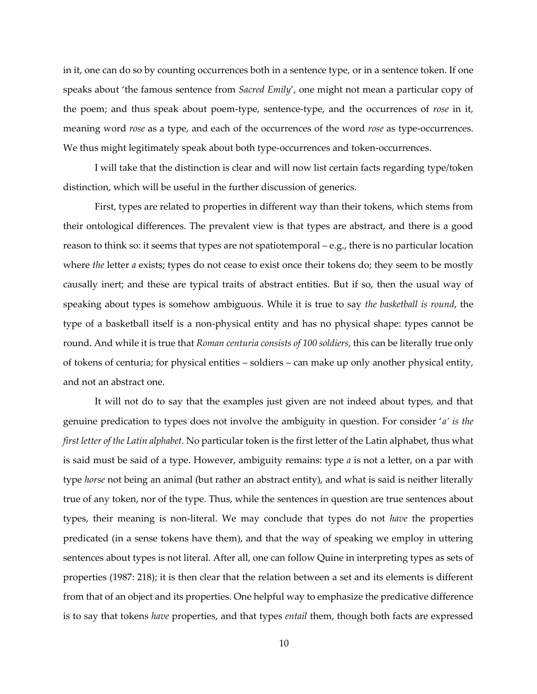in it, one can do so by counting occurrences both in a sentence type, or in a sentence token. If one speaks about 'the famous sentence from *Sacred Emily*', one might not mean a particular copy of the poem; and thus speak about poem-type, sentence-type, and the occurrences of *rose* in it, meaning word *rose* as a type, and each of the occurrences of the word *rose* as type-occurrences. We thus might legitimately speak about both type-occurrences and token-occurrences.

I will take that the distinction is clear and will now list certain facts regarding type/token distinction, which will be useful in the further discussion of generics.

First, types are related to properties in different way than their tokens, which stems from their ontological differences. The prevalent view is that types are abstract, and there is a good reason to think so: it seems that types are not spatiotemporal – e.g., there is no particular location where *the* letter *a* exists; types do not cease to exist once their tokens do; they seem to be mostly causally inert; and these are typical traits of abstract entities. But if so, then the usual way of speaking about types is somehow ambiguous. While it is true to say *the basketball is round*, the type of a basketball itself is a non-physical entity and has no physical shape: types cannot be round. And while it is true that *Roman centuria consists of 100 soldiers*, this can be literally true only of tokens of centuria; for physical entities – soldiers – can make up only another physical entity, and not an abstract one.

It will not do to say that the examples just given are not indeed about types, and that genuine predication to types does not involve the ambiguity in question. For consider '*a' is the first letter of the Latin alphabet.* No particular token is the first letter of the Latin alphabet, thus what is said must be said of a type. However, ambiguity remains: type *a* is not a letter, on a par with type *horse* not being an animal (but rather an abstract entity), and what is said is neither literally true of any token, nor of the type. Thus, while the sentences in question are true sentences about types, their meaning is non-literal. We may conclude that types do not *have* the properties predicated (in a sense tokens have them), and that the way of speaking we employ in uttering sentences about types is not literal. After all, one can follow Quine in interpreting types as sets of properties (1987: 218); it is then clear that the relation between a set and its elements is different from that of an object and its properties. One helpful way to emphasize the predicative difference is to say that tokens *have* properties, and that types *entail* them, though both facts are expressed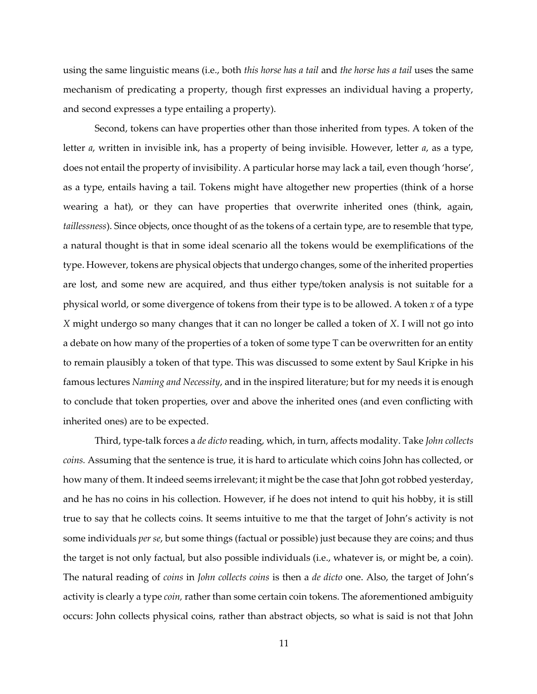using the same linguistic means (i.e., both *this horse has a tail* and *the horse has a tail* uses the same mechanism of predicating a property, though first expresses an individual having a property, and second expresses a type entailing a property).

Second, tokens can have properties other than those inherited from types. A token of the letter *a*, written in invisible ink, has a property of being invisible. However, letter *a*, as a type, does not entail the property of invisibility. A particular horse may lack a tail, even though 'horse', as a type, entails having a tail. Tokens might have altogether new properties (think of a horse wearing a hat), or they can have properties that overwrite inherited ones (think, again, *taillessness*). Since objects, once thought of as the tokens of a certain type, are to resemble that type, a natural thought is that in some ideal scenario all the tokens would be exemplifications of the type. However, tokens are physical objects that undergo changes, some of the inherited properties are lost, and some new are acquired, and thus either type/token analysis is not suitable for a physical world, or some divergence of tokens from their type is to be allowed. A token *x* of a type *X* might undergo so many changes that it can no longer be called a token of *X*. I will not go into a debate on how many of the properties of a token of some type T can be overwritten for an entity to remain plausibly a token of that type. This was discussed to some extent by Saul Kripke in his famous lectures *Naming and Necessity*, and in the inspired literature; but for my needs it is enough to conclude that token properties, over and above the inherited ones (and even conflicting with inherited ones) are to be expected.

Third, type-talk forces a *de dicto* reading, which, in turn, affects modality. Take *John collects coins.* Assuming that the sentence is true, it is hard to articulate which coins John has collected, or how many of them. It indeed seems irrelevant; it might be the case that John got robbed yesterday, and he has no coins in his collection. However, if he does not intend to quit his hobby, it is still true to say that he collects coins. It seems intuitive to me that the target of John's activity is not some individuals *per se*, but some things (factual or possible) just because they are coins; and thus the target is not only factual, but also possible individuals (i.e., whatever is, or might be, a coin). The natural reading of *coins* in *John collects coins* is then a *de dicto* one. Also, the target of John's activity is clearly a type *coin,* rather than some certain coin tokens. The aforementioned ambiguity occurs: John collects physical coins, rather than abstract objects, so what is said is not that John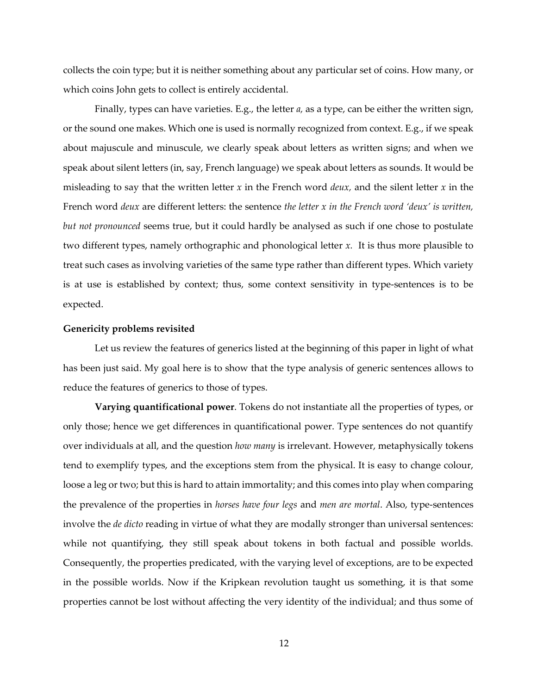collects the coin type; but it is neither something about any particular set of coins. How many, or which coins John gets to collect is entirely accidental.

Finally, types can have varieties. E.g., the letter *a,* as a type, can be either the written sign, or the sound one makes. Which one is used is normally recognized from context. E.g., if we speak about majuscule and minuscule, we clearly speak about letters as written signs; and when we speak about silent letters (in, say, French language) we speak about letters as sounds. It would be misleading to say that the written letter *x* in the French word *deux,* and the silent letter *x* in the French word *deux* are different letters: the sentence *the letter x in the French word 'deux' is written, but not pronounced* seems true, but it could hardly be analysed as such if one chose to postulate two different types, namely orthographic and phonological letter *x.* It is thus more plausible to treat such cases as involving varieties of the same type rather than different types. Which variety is at use is established by context; thus, some context sensitivity in type-sentences is to be expected.

#### <span id="page-13-0"></span>**Genericity problems revisited**

Let us review the features of generics listed at the beginning of this paper in light of what has been just said. My goal here is to show that the type analysis of generic sentences allows to reduce the features of generics to those of types.

**Varying quantificational power**. Tokens do not instantiate all the properties of types, or only those; hence we get differences in quantificational power. Type sentences do not quantify over individuals at all, and the question *how many* is irrelevant. However, metaphysically tokens tend to exemplify types, and the exceptions stem from the physical. It is easy to change colour, loose a leg or two; but this is hard to attain immortality; and this comes into play when comparing the prevalence of the properties in *horses have four legs* and *men are mortal*. Also, type-sentences involve the *de dicto* reading in virtue of what they are modally stronger than universal sentences: while not quantifying, they still speak about tokens in both factual and possible worlds. Consequently, the properties predicated, with the varying level of exceptions, are to be expected in the possible worlds. Now if the Kripkean revolution taught us something, it is that some properties cannot be lost without affecting the very identity of the individual; and thus some of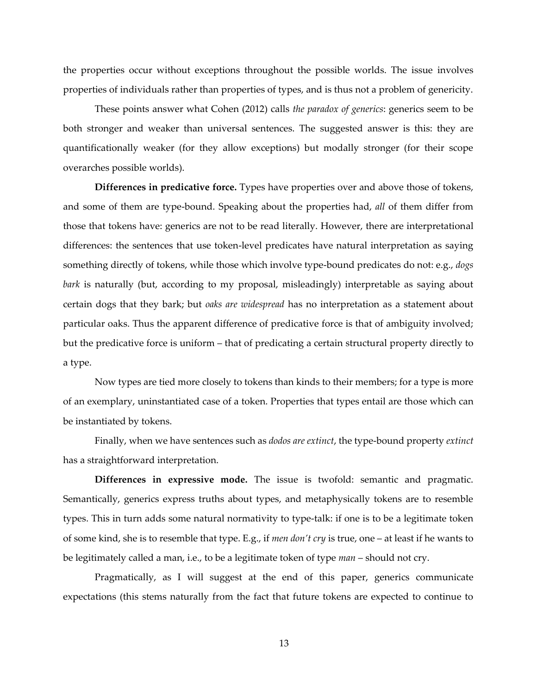the properties occur without exceptions throughout the possible worlds. The issue involves properties of individuals rather than properties of types, and is thus not a problem of genericity.

These points answer what Cohen (2012) calls *the paradox of generics*: generics seem to be both stronger and weaker than universal sentences. The suggested answer is this: they are quantificationally weaker (for they allow exceptions) but modally stronger (for their scope overarches possible worlds).

**Differences in predicative force.** Types have properties over and above those of tokens, and some of them are type-bound. Speaking about the properties had, *all* of them differ from those that tokens have: generics are not to be read literally. However, there are interpretational differences: the sentences that use token-level predicates have natural interpretation as saying something directly of tokens, while those which involve type-bound predicates do not: e.g., *dogs bark* is naturally (but, according to my proposal, misleadingly) interpretable as saying about certain dogs that they bark; but *oaks are widespread* has no interpretation as a statement about particular oaks. Thus the apparent difference of predicative force is that of ambiguity involved; but the predicative force is uniform – that of predicating a certain structural property directly to a type.

Now types are tied more closely to tokens than kinds to their members; for a type is more of an exemplary, uninstantiated case of a token. Properties that types entail are those which can be instantiated by tokens.

Finally, when we have sentences such as *dodos are extinct*, the type-bound property *extinct*  has a straightforward interpretation.

**Differences in expressive mode.** The issue is twofold: semantic and pragmatic. Semantically, generics express truths about types, and metaphysically tokens are to resemble types. This in turn adds some natural normativity to type-talk: if one is to be a legitimate token of some kind, she is to resemble that type. E.g., if *men don't cry* is true, one – at least if he wants to be legitimately called a man, i.e., to be a legitimate token of type *man* – should not cry.

Pragmatically, as I will suggest at the end of this paper, generics communicate expectations (this stems naturally from the fact that future tokens are expected to continue to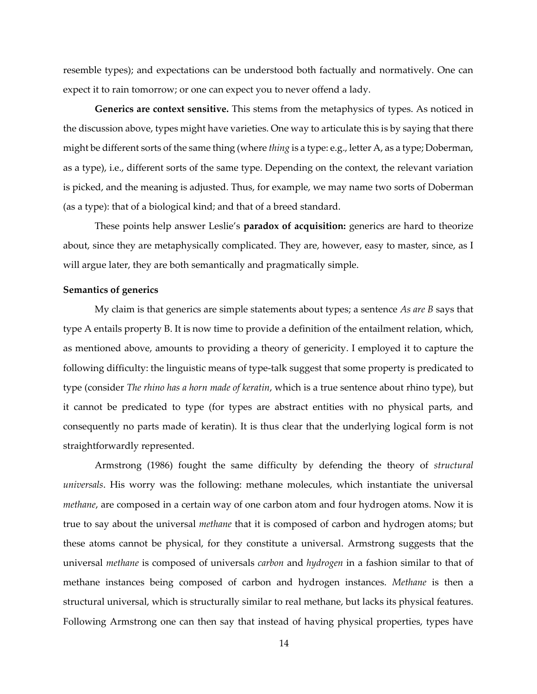resemble types); and expectations can be understood both factually and normatively. One can expect it to rain tomorrow; or one can expect you to never offend a lady.

**Generics are context sensitive.** This stems from the metaphysics of types. As noticed in the discussion above, types might have varieties. One way to articulate this is by saying that there might be different sorts of the same thing (where *thing* is a type: e.g., letter A, as a type; Doberman, as a type), i.e., different sorts of the same type. Depending on the context, the relevant variation is picked, and the meaning is adjusted. Thus, for example, we may name two sorts of Doberman (as a type): that of a biological kind; and that of a breed standard.

These points help answer Leslie's **paradox of acquisition:** generics are hard to theorize about, since they are metaphysically complicated. They are, however, easy to master, since, as I will argue later, they are both semantically and pragmatically simple.

# <span id="page-15-0"></span>**Semantics of generics**

My claim is that generics are simple statements about types; a sentence *As are B* says that type A entails property B. It is now time to provide a definition of the entailment relation, which, as mentioned above, amounts to providing a theory of genericity. I employed it to capture the following difficulty: the linguistic means of type-talk suggest that some property is predicated to type (consider *The rhino has a horn made of keratin*, which is a true sentence about rhino type), but it cannot be predicated to type (for types are abstract entities with no physical parts, and consequently no parts made of keratin). It is thus clear that the underlying logical form is not straightforwardly represented.

Armstrong (1986) fought the same difficulty by defending the theory of *structural universals*. His worry was the following: methane molecules, which instantiate the universal *methane*, are composed in a certain way of one carbon atom and four hydrogen atoms. Now it is true to say about the universal *methane* that it is composed of carbon and hydrogen atoms; but these atoms cannot be physical, for they constitute a universal. Armstrong suggests that the universal *methane* is composed of universals *carbon* and *hydrogen* in a fashion similar to that of methane instances being composed of carbon and hydrogen instances. *Methane* is then a structural universal, which is structurally similar to real methane, but lacks its physical features. Following Armstrong one can then say that instead of having physical properties, types have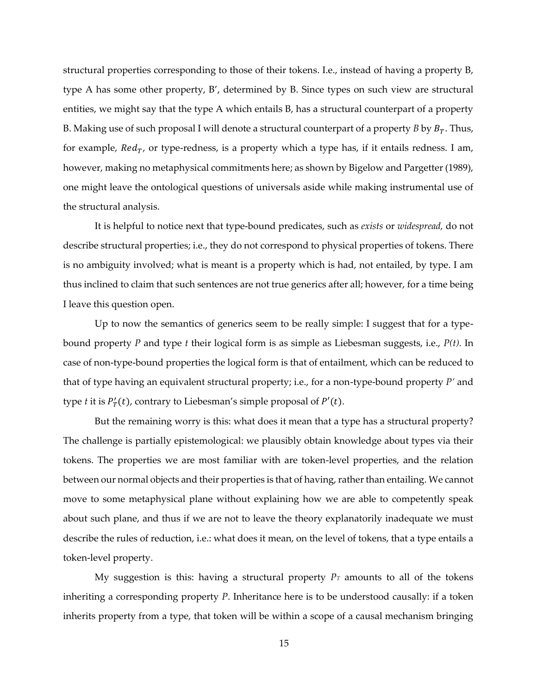structural properties corresponding to those of their tokens. I.e., instead of having a property B, type A has some other property, B', determined by B. Since types on such view are structural entities, we might say that the type A which entails B, has a structural counterpart of a property B. Making use of such proposal I will denote a structural counterpart of a property *B* by  $B_T$ . Thus, for example,  $Red_T$ , or type-redness, is a property which a type has, if it entails redness. I am, however, making no metaphysical commitments here; as shown by Bigelow and Pargetter (1989), one might leave the ontological questions of universals aside while making instrumental use of the structural analysis.

It is helpful to notice next that type-bound predicates, such as *exists* or *widespread,* do not describe structural properties; i.e., they do not correspond to physical properties of tokens. There is no ambiguity involved; what is meant is a property which is had, not entailed, by type. I am thus inclined to claim that such sentences are not true generics after all; however, for a time being I leave this question open.

Up to now the semantics of generics seem to be really simple: I suggest that for a typebound property *P* and type *t* their logical form is as simple as Liebesman suggests, i.e., *P(t).* In case of non-type-bound properties the logical form is that of entailment, which can be reduced to that of type having an equivalent structural property; i.e., for a non-type-bound property *P'* and type *t* it is  $P'_T(t)$ , contrary to Liebesman's simple proposal of  $P'(t)$ .

But the remaining worry is this: what does it mean that a type has a structural property? The challenge is partially epistemological: we plausibly obtain knowledge about types via their tokens. The properties we are most familiar with are token-level properties, and the relation between our normal objects and their properties is that of having, rather than entailing. We cannot move to some metaphysical plane without explaining how we are able to competently speak about such plane, and thus if we are not to leave the theory explanatorily inadequate we must describe the rules of reduction, i.e.: what does it mean, on the level of tokens, that a type entails a token-level property.

My suggestion is this: having a structural property  $P_T$  amounts to all of the tokens inheriting a corresponding property *P*. Inheritance here is to be understood causally: if a token inherits property from a type, that token will be within a scope of a causal mechanism bringing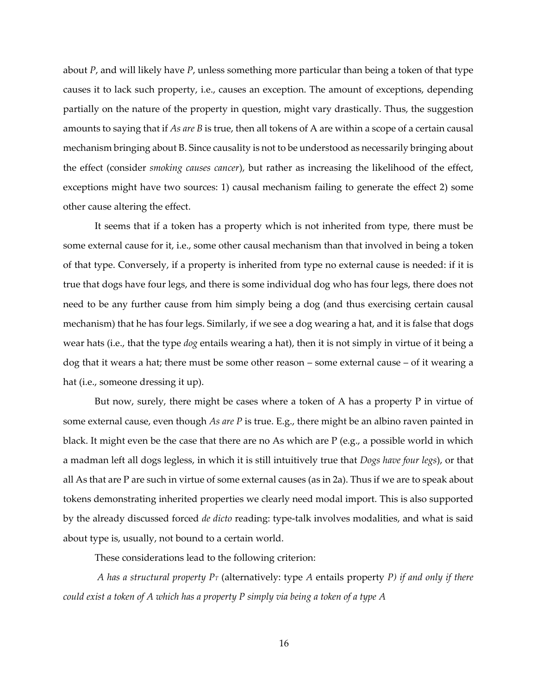about *P*, and will likely have *P*, unless something more particular than being a token of that type causes it to lack such property, i.e., causes an exception. The amount of exceptions, depending partially on the nature of the property in question, might vary drastically. Thus, the suggestion amounts to saying that if *As are B* is true, then all tokens of A are within a scope of a certain causal mechanism bringing about B. Since causality is not to be understood as necessarily bringing about the effect (consider *smoking causes cancer*), but rather as increasing the likelihood of the effect, exceptions might have two sources: 1) causal mechanism failing to generate the effect 2) some other cause altering the effect.

It seems that if a token has a property which is not inherited from type, there must be some external cause for it, i.e., some other causal mechanism than that involved in being a token of that type. Conversely, if a property is inherited from type no external cause is needed: if it is true that dogs have four legs, and there is some individual dog who has four legs, there does not need to be any further cause from him simply being a dog (and thus exercising certain causal mechanism) that he has four legs. Similarly, if we see a dog wearing a hat, and it is false that dogs wear hats (i.e., that the type *dog* entails wearing a hat), then it is not simply in virtue of it being a dog that it wears a hat; there must be some other reason – some external cause – of it wearing a hat (i.e., someone dressing it up).

But now, surely, there might be cases where a token of A has a property P in virtue of some external cause, even though *As are P* is true. E.g., there might be an albino raven painted in black. It might even be the case that there are no As which are P (e.g., a possible world in which a madman left all dogs legless, in which it is still intuitively true that *Dogs have four legs*), or that all As that are P are such in virtue of some external causes (as in 2a). Thus if we are to speak about tokens demonstrating inherited properties we clearly need modal import. This is also supported by the already discussed forced *de dicto* reading: type-talk involves modalities, and what is said about type is, usually, not bound to a certain world.

These considerations lead to the following criterion:

*A has a structural property P<sup>T</sup>* (alternatively: type *A* entails property *P) if and only if there could exist a token of A which has a property P simply via being a token of a type A*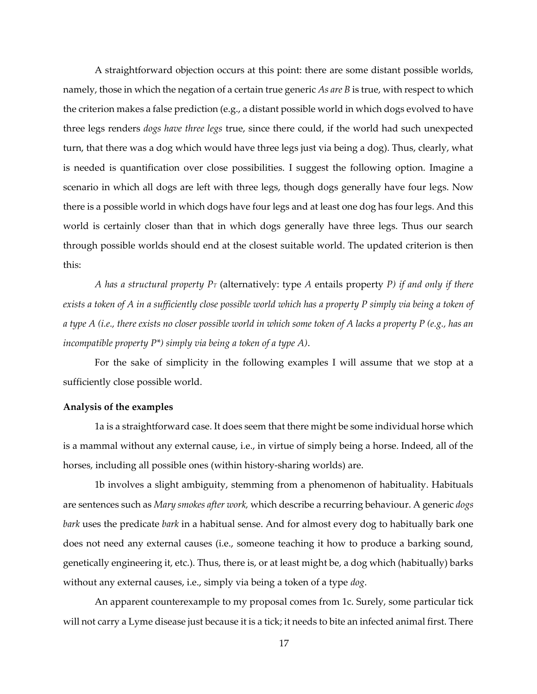A straightforward objection occurs at this point: there are some distant possible worlds, namely, those in which the negation of a certain true generic *As are B* is true, with respect to which the criterion makes a false prediction (e.g., a distant possible world in which dogs evolved to have three legs renders *dogs have three legs* true, since there could, if the world had such unexpected turn, that there was a dog which would have three legs just via being a dog). Thus, clearly, what is needed is quantification over close possibilities. I suggest the following option. Imagine a scenario in which all dogs are left with three legs, though dogs generally have four legs. Now there is a possible world in which dogs have four legs and at least one dog has four legs. And this world is certainly closer than that in which dogs generally have three legs. Thus our search through possible worlds should end at the closest suitable world. The updated criterion is then this:

*A has a structural property P<sup>T</sup>* (alternatively: type *A* entails property *P) if and only if there exists a token of A in a sufficiently close possible world which has a property P simply via being a token of a type A (i.e., there exists no closer possible world in which some token of A lacks a property P (e.g., has an incompatible property P\*) simply via being a token of a type A)*.

For the sake of simplicity in the following examples I will assume that we stop at a sufficiently close possible world.

#### <span id="page-18-0"></span>**Analysis of the examples**

1a is a straightforward case. It does seem that there might be some individual horse which is a mammal without any external cause, i.e., in virtue of simply being a horse. Indeed, all of the horses, including all possible ones (within history-sharing worlds) are.

1b involves a slight ambiguity, stemming from a phenomenon of habituality. Habituals are sentences such as *Mary smokes after work,* which describe a recurring behaviour. A generic *dogs bark* uses the predicate *bark* in a habitual sense. And for almost every dog to habitually bark one does not need any external causes (i.e., someone teaching it how to produce a barking sound, genetically engineering it, etc.). Thus, there is, or at least might be, a dog which (habitually) barks without any external causes, i.e., simply via being a token of a type *dog*.

An apparent counterexample to my proposal comes from 1c. Surely, some particular tick will not carry a Lyme disease just because it is a tick; it needs to bite an infected animal first. There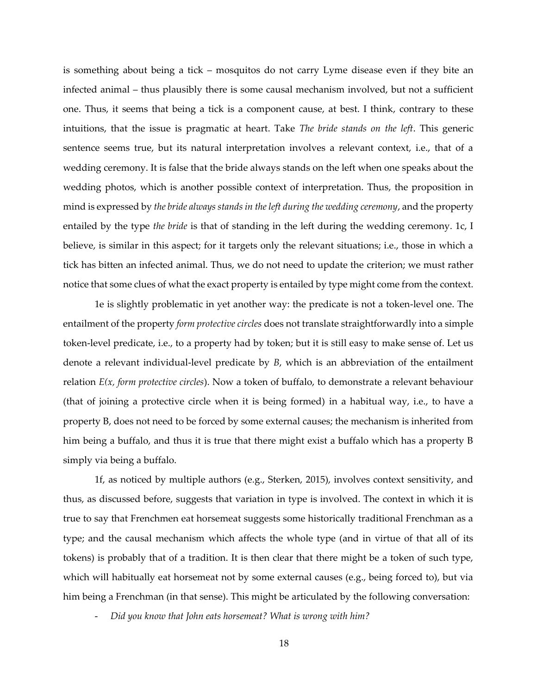is something about being a tick – mosquitos do not carry Lyme disease even if they bite an infected animal – thus plausibly there is some causal mechanism involved, but not a sufficient one. Thus, it seems that being a tick is a component cause, at best. I think, contrary to these intuitions, that the issue is pragmatic at heart. Take *The bride stands on the left*. This generic sentence seems true, but its natural interpretation involves a relevant context, i.e., that of a wedding ceremony. It is false that the bride always stands on the left when one speaks about the wedding photos, which is another possible context of interpretation. Thus, the proposition in mind is expressed by *the bride always stands in the left during the wedding ceremony*, and the property entailed by the type *the bride* is that of standing in the left during the wedding ceremony. 1c, I believe, is similar in this aspect; for it targets only the relevant situations; i.e., those in which a tick has bitten an infected animal. Thus, we do not need to update the criterion; we must rather notice that some clues of what the exact property is entailed by type might come from the context.

1e is slightly problematic in yet another way: the predicate is not a token-level one. The entailment of the property *form protective circles* does not translate straightforwardly into a simple token-level predicate, i.e., to a property had by token; but it is still easy to make sense of. Let us denote a relevant individual-level predicate by *B*, which is an abbreviation of the entailment relation *E(x, form protective circles*). Now a token of buffalo, to demonstrate a relevant behaviour (that of joining a protective circle when it is being formed) in a habitual way, i.e., to have a property B, does not need to be forced by some external causes; the mechanism is inherited from him being a buffalo, and thus it is true that there might exist a buffalo which has a property B simply via being a buffalo.

1f, as noticed by multiple authors (e.g., Sterken, 2015), involves context sensitivity, and thus, as discussed before, suggests that variation in type is involved. The context in which it is true to say that Frenchmen eat horsemeat suggests some historically traditional Frenchman as a type; and the causal mechanism which affects the whole type (and in virtue of that all of its tokens) is probably that of a tradition. It is then clear that there might be a token of such type, which will habitually eat horsemeat not by some external causes (e.g., being forced to), but via him being a Frenchman (in that sense). This might be articulated by the following conversation:

- *Did you know that John eats horsemeat? What is wrong with him?*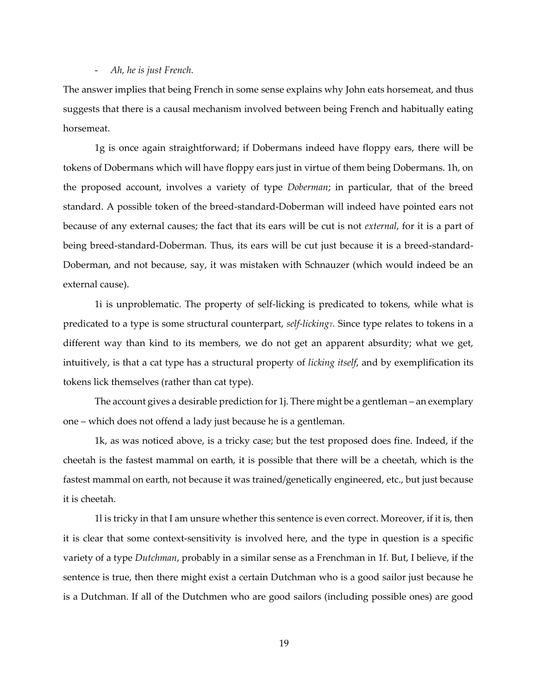#### - *Ah, he is just French.*

The answer implies that being French in some sense explains why John eats horsemeat, and thus suggests that there is a causal mechanism involved between being French and habitually eating horsemeat.

1g is once again straightforward; if Dobermans indeed have floppy ears, there will be tokens of Dobermans which will have floppy ears just in virtue of them being Dobermans. 1h, on the proposed account, involves a variety of type *Doberman*; in particular, that of the breed standard. A possible token of the breed-standard-Doberman will indeed have pointed ears not because of any external causes; the fact that its ears will be cut is not *external*, for it is a part of being breed-standard-Doberman. Thus, its ears will be cut just because it is a breed-standard-Doberman, and not because, say, it was mistaken with Schnauzer (which would indeed be an external cause).

1i is unproblematic. The property of self-licking is predicated to tokens, while what is predicated to a type is some structural counterpart, *self-lickingT.* Since type relates to tokens in a different way than kind to its members, we do not get an apparent absurdity; what we get, intuitively, is that a cat type has a structural property of *licking itself*, and by exemplification its tokens lick themselves (rather than cat type).

The account gives a desirable prediction for 1j. There might be a gentleman – an exemplary one – which does not offend a lady just because he is a gentleman.

1k, as was noticed above, is a tricky case; but the test proposed does fine. Indeed, if the cheetah is the fastest mammal on earth, it is possible that there will be a cheetah, which is the fastest mammal on earth, not because it was trained/genetically engineered, etc., but just because it is cheetah.

1l is tricky in that I am unsure whether this sentence is even correct. Moreover, if it is, then it is clear that some context-sensitivity is involved here, and the type in question is a specific variety of a type *Dutchman*, probably in a similar sense as a Frenchman in 1f*.* But, I believe, if the sentence is true, then there might exist a certain Dutchman who is a good sailor just because he is a Dutchman. If all of the Dutchmen who are good sailors (including possible ones) are good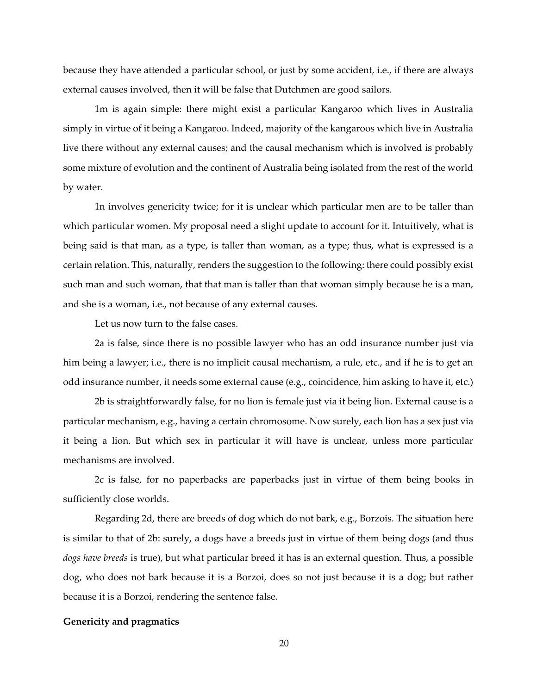because they have attended a particular school, or just by some accident, i.e., if there are always external causes involved, then it will be false that Dutchmen are good sailors.

1m is again simple: there might exist a particular Kangaroo which lives in Australia simply in virtue of it being a Kangaroo. Indeed, majority of the kangaroos which live in Australia live there without any external causes; and the causal mechanism which is involved is probably some mixture of evolution and the continent of Australia being isolated from the rest of the world by water.

1n involves genericity twice; for it is unclear which particular men are to be taller than which particular women. My proposal need a slight update to account for it. Intuitively, what is being said is that man, as a type, is taller than woman, as a type; thus, what is expressed is a certain relation. This, naturally, renders the suggestion to the following: there could possibly exist such man and such woman, that that man is taller than that woman simply because he is a man, and she is a woman, i.e., not because of any external causes.

Let us now turn to the false cases.

2a is false, since there is no possible lawyer who has an odd insurance number just via him being a lawyer; i.e., there is no implicit causal mechanism, a rule, etc., and if he is to get an odd insurance number, it needs some external cause (e.g., coincidence, him asking to have it, etc.)

2b is straightforwardly false, for no lion is female just via it being lion. External cause is a particular mechanism, e.g., having a certain chromosome. Now surely, each lion has a sex just via it being a lion. But which sex in particular it will have is unclear, unless more particular mechanisms are involved.

2c is false, for no paperbacks are paperbacks just in virtue of them being books in sufficiently close worlds.

Regarding 2d, there are breeds of dog which do not bark, e.g., Borzois. The situation here is similar to that of 2b: surely, a dogs have a breeds just in virtue of them being dogs (and thus *dogs have breeds* is true), but what particular breed it has is an external question. Thus, a possible dog, who does not bark because it is a Borzoi, does so not just because it is a dog; but rather because it is a Borzoi, rendering the sentence false.

# <span id="page-21-0"></span>**Genericity and pragmatics**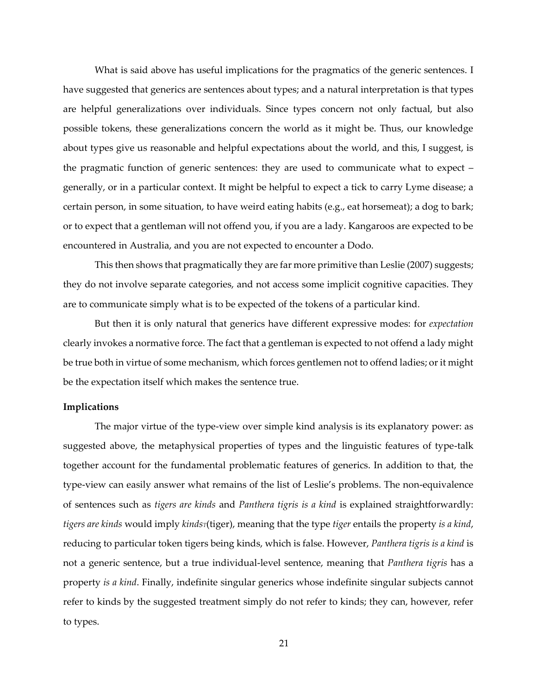What is said above has useful implications for the pragmatics of the generic sentences. I have suggested that generics are sentences about types; and a natural interpretation is that types are helpful generalizations over individuals. Since types concern not only factual, but also possible tokens, these generalizations concern the world as it might be. Thus, our knowledge about types give us reasonable and helpful expectations about the world, and this, I suggest, is the pragmatic function of generic sentences: they are used to communicate what to expect – generally, or in a particular context. It might be helpful to expect a tick to carry Lyme disease; a certain person, in some situation, to have weird eating habits (e.g., eat horsemeat); a dog to bark; or to expect that a gentleman will not offend you, if you are a lady. Kangaroos are expected to be encountered in Australia, and you are not expected to encounter a Dodo.

This then shows that pragmatically they are far more primitive than Leslie (2007) suggests; they do not involve separate categories, and not access some implicit cognitive capacities. They are to communicate simply what is to be expected of the tokens of a particular kind.

But then it is only natural that generics have different expressive modes: for *expectation*  clearly invokes a normative force. The fact that a gentleman is expected to not offend a lady might be true both in virtue of some mechanism, which forces gentlemen not to offend ladies; or it might be the expectation itself which makes the sentence true.

#### <span id="page-22-0"></span>**Implications**

The major virtue of the type-view over simple kind analysis is its explanatory power: as suggested above, the metaphysical properties of types and the linguistic features of type-talk together account for the fundamental problematic features of generics. In addition to that, the type-view can easily answer what remains of the list of Leslie's problems. The non-equivalence of sentences such as *tigers are kinds* and *Panthera tigris is a kind* is explained straightforwardly: *tigers are kinds* would imply *kindsT*(tiger), meaning that the type *tiger* entails the property *is a kind*, reducing to particular token tigers being kinds, which is false. However, *Panthera tigris is a kind* is not a generic sentence, but a true individual-level sentence, meaning that *Panthera tigris* has a property *is a kind*. Finally, indefinite singular generics whose indefinite singular subjects cannot refer to kinds by the suggested treatment simply do not refer to kinds; they can, however, refer to types.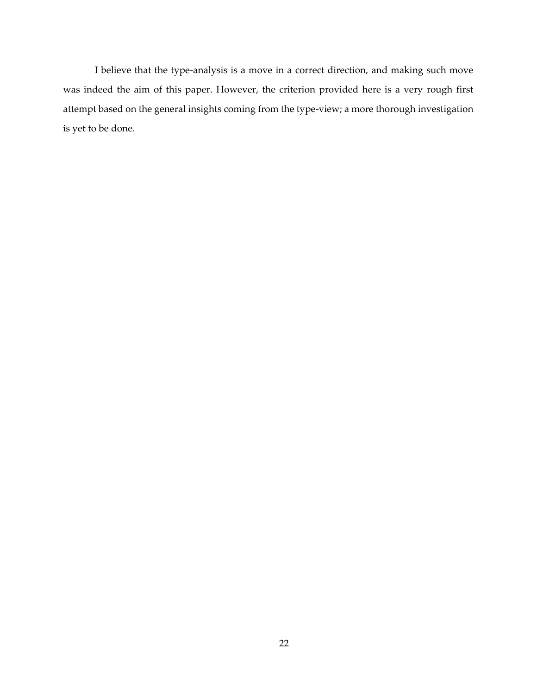I believe that the type-analysis is a move in a correct direction, and making such move was indeed the aim of this paper. However, the criterion provided here is a very rough first attempt based on the general insights coming from the type-view; a more thorough investigation is yet to be done.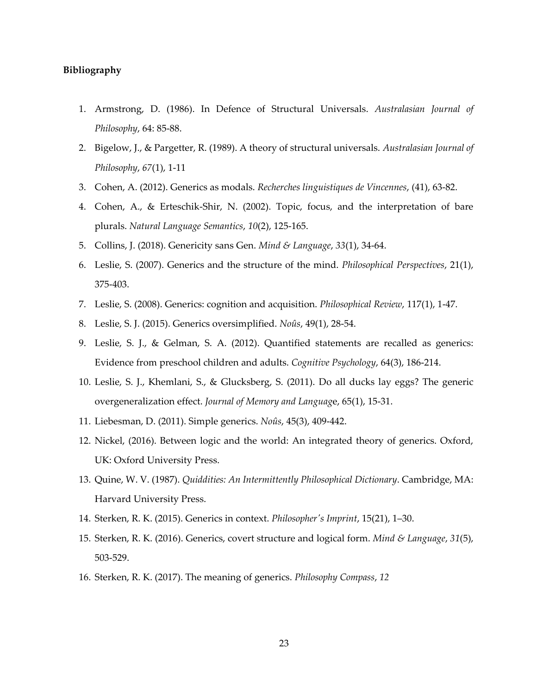# <span id="page-24-0"></span>**Bibliography**

- 1. Armstrong, D. (1986). In Defence of Structural Universals. *Australasian Journal of Philosophy*, 64: 85-88.
- 2. Bigelow, J., & Pargetter, R. (1989). A theory of structural universals. *Australasian Journal of Philosophy*, *67*(1), 1-11
- 3. Cohen, A. (2012). Generics as modals. *Recherches linguistiques de Vincennes*, (41), 63-82.
- 4. Cohen, A., & Erteschik-Shir, N. (2002). Topic, focus, and the interpretation of bare plurals. *Natural Language Semantics*, *10*(2), 125-165.
- 5. Collins, J. (2018). Genericity sans Gen. *Mind & Language*, *33*(1), 34-64.
- 6. Leslie, S. (2007). Generics and the structure of the mind. *Philosophical Perspectives*, 21(1), 375-403.
- 7. Leslie, S. (2008). Generics: cognition and acquisition. *Philosophical Review*, 117(1), 1-47.
- 8. Leslie, S. J. (2015). Generics oversimplified. *Noûs*, 49(1), 28-54.
- 9. Leslie, S. J., & Gelman, S. A. (2012). Quantified statements are recalled as generics: Evidence from preschool children and adults. *Cognitive Psychology*, 64(3), 186-214.
- 10. Leslie, S. J., Khemlani, S., & Glucksberg, S. (2011). Do all ducks lay eggs? The generic overgeneralization effect. *Journal of Memory and Languag*e, 65(1), 15-31.
- 11. Liebesman, D. (2011). Simple generics. *Noûs*, 45(3), 409-442.
- 12. Nickel, (2016). Between logic and the world: An integrated theory of generics. Oxford, UK: Oxford University Press.
- 13. Quine, W. V. (1987). *Quiddities: An Intermittently Philosophical Dictionary*. Cambridge, MA: Harvard University Press.
- 14. Sterken, R. K. (2015). Generics in context. *Philosopher's Imprint*, 15(21), 1–30.
- 15. Sterken, R. K. (2016). Generics, covert structure and logical form. *Mind & Language*, *31*(5), 503-529.
- 16. Sterken, R. K. (2017). The meaning of generics. *Philosophy Compass*, *12*